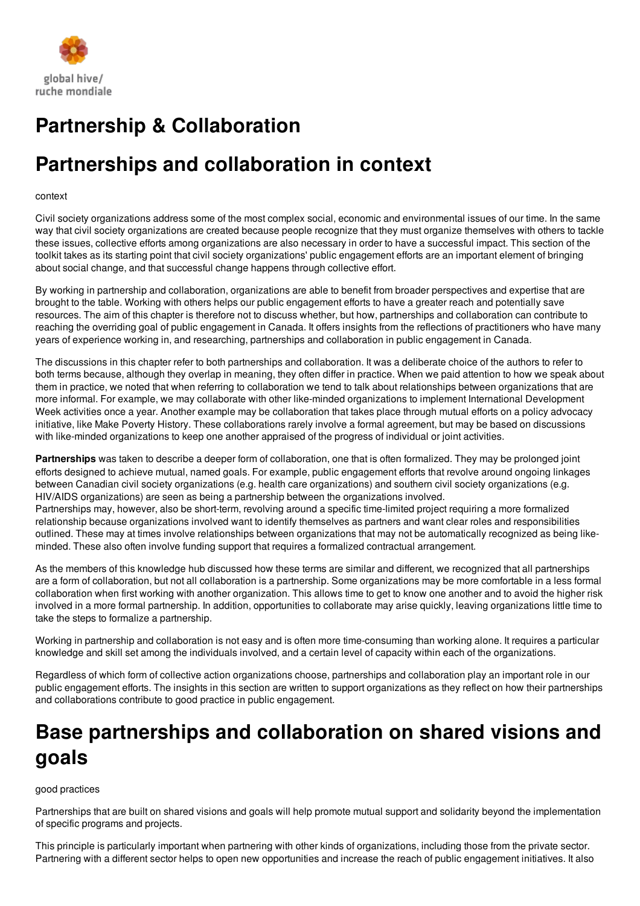

# **Partnership & Collaboration**

# **Partnerships and collaboration in context**

#### context

Civil society organizations address some of the most complex social, economic and environmental issues of our time. In the same way that civil society organizations are created because people recognize that they must organize themselves with others to tackle these issues, collective efforts among organizations are also necessary in order to have a successful impact. This section of the toolkit takes as its starting point that civil society organizations' public engagement efforts are an important element of bringing about social change, and that successful change happens through collective effort.

By working in partnership and collaboration, organizations are able to benefit from broader perspectives and expertise that are brought to the table. Working with others helps our public engagement efforts to have a greater reach and potentially save resources. The aim of this chapter is therefore not to discuss whether, but how, partnerships and collaboration can contribute to reaching the overriding goal of public engagement in Canada. It offers insights from the reflections of practitioners who have many years of experience working in, and researching, partnerships and collaboration in public engagement in Canada.

The discussions in this chapter refer to both partnerships and collaboration. It was a deliberate choice of the authors to refer to both terms because, although they overlap in meaning, they often differ in practice. When we paid attention to how we speak about them in practice, we noted that when referring to collaboration we tend to talk about relationships between organizations that are more informal. For example, we may collaborate with other like-minded organizations to implement International Development Week activities once a year. Another example may be collaboration that takes place through mutual efforts on a policy advocacy initiative, like Make Poverty History. These collaborations rarely involve a formal agreement, but may be based on discussions with like-minded organizations to keep one another appraised of the progress of individual or joint activities.

**Partnerships** was taken to describe a deeper form of collaboration, one that is often formalized. They may be prolonged joint efforts designed to achieve mutual, named goals. For example, public engagement efforts that revolve around ongoing linkages between Canadian civil society organizations (e.g. health care organizations) and southern civil society organizations (e.g. HIV/AIDS organizations) are seen as being a partnership between the organizations involved.

Partnerships may, however, also be short-term, revolving around a specific time-limited project requiring a more formalized relationship because organizations involved want to identify themselves as partners and want clear roles and responsibilities outlined. These may at times involve relationships between organizations that may not be automatically recognized as being likeminded. These also often involve funding support that requires a formalized contractual arrangement.

As the members of this knowledge hub discussed how these terms are similar and different, we recognized that all partnerships are a form of collaboration, but not all collaboration is a partnership. Some organizations may be more comfortable in a less formal collaboration when first working with another organization. This allows time to get to know one another and to avoid the higher risk involved in a more formal partnership. In addition, opportunities to collaborate may arise quickly, leaving organizations little time to take the steps to formalize a partnership.

Working in partnership and collaboration is not easy and is often more time-consuming than working alone. It requires a particular knowledge and skill set among the individuals involved, and a certain level of capacity within each of the organizations.

Regardless of which form of collective action organizations choose, partnerships and collaboration play an important role in our public engagement efforts. The insights in this section are written to support organizations as they reflect on how their partnerships and collaborations contribute to good practice in public engagement.

# **Base partnerships and collaboration on shared visions and goals**

#### good practices

Partnerships that are built on shared visions and goals will help promote mutual support and solidarity beyond the implementation of specific programs and projects.

This principle is particularly important when partnering with other kinds of organizations, including those from the private sector. Partnering with a different sector helps to open new opportunities and increase the reach of public engagement initiatives. It also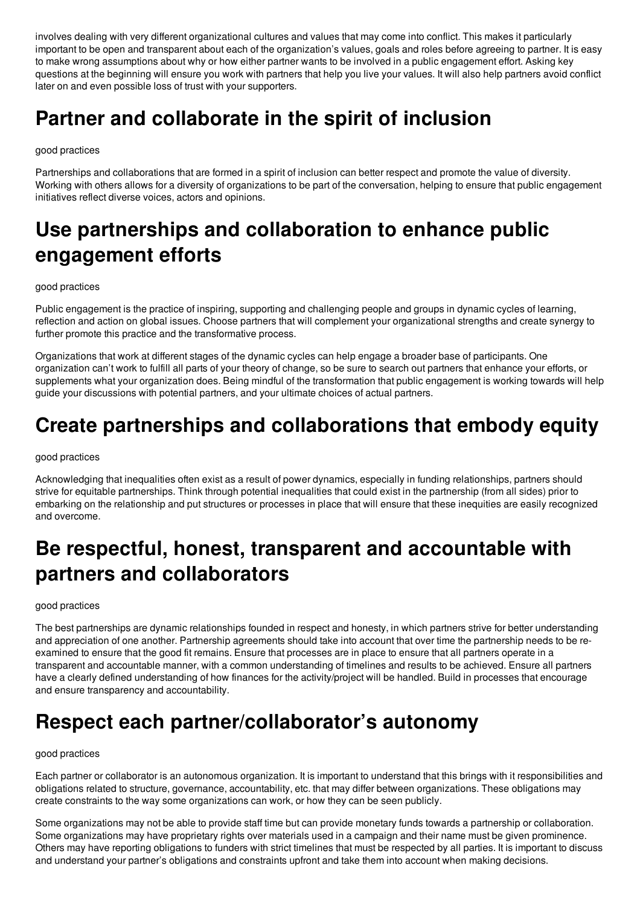involves dealing with very different organizational cultures and values that may come into conflict. This makes it particularly important to be open and transparent about each of the organization's values, goals and roles before agreeing to partner. It is easy to make wrong assumptions about why or how either partner wants to be involved in a public engagement effort. Asking key questions at the beginning will ensure you work with partners that help you live your values. It will also help partners avoid conflict later on and even possible loss of trust with your supporters.

# **Partner and collaborate in the spirit of inclusion**

### good practices

Partnerships and collaborations that are formed in a spirit of inclusion can better respect and promote the value of diversity. Working with others allows for a diversity of organizations to be part of the conversation, helping to ensure that public engagement initiatives reflect diverse voices, actors and opinions.

# **Use partnerships and collaboration to enhance public engagement efforts**

#### good practices

Public engagement is the practice of inspiring, supporting and challenging people and groups in dynamic cycles of learning, reflection and action on global issues. Choose partners that will complement your organizational strengths and create synergy to further promote this practice and the transformative process.

Organizations that work at different stages of the dynamic cycles can help engage a broader base of participants. One organization can't work to fulfill all parts of your theory of change, so be sure to search out partners that enhance your efforts, or supplements what your organization does. Being mindful of the transformation that public engagement is working towards will help guide your discussions with potential partners, and your ultimate choices of actual partners.

# **Create partnerships and collaborations that embody equity**

### good practices

Acknowledging that inequalities often exist as a result of power dynamics, especially in funding relationships, partners should strive for equitable partnerships. Think through potential inequalities that could exist in the partnership (from all sides) prior to embarking on the relationship and put structures or processes in place that will ensure that these inequities are easily recognized and overcome.

# **Be respectful, honest, transparent and accountable with partners and collaborators**

#### good practices

The best partnerships are dynamic relationships founded in respect and honesty, in which partners strive for better understanding and appreciation of one another. Partnership agreements should take into account that over time the partnership needs to be reexamined to ensure that the good fit remains. Ensure that processes are in place to ensure that all partners operate in a transparent and accountable manner, with a common understanding of timelines and results to be achieved. Ensure all partners have a clearly defined understanding of how finances for the activity/project will be handled. Build in processes that encourage and ensure transparency and accountability.

# **Respect each partner/collaborator's autonomy**

#### good practices

Each partner or collaborator is an autonomous organization. It is important to understand that this brings with it responsibilities and obligations related to structure, governance, accountability, etc. that may differ between organizations. These obligations may create constraints to the way some organizations can work, or how they can be seen publicly.

Some organizations may not be able to provide staff time but can provide monetary funds towards a partnership or collaboration. Some organizations may have proprietary rights over materials used in a campaign and their name must be given prominence. Others may have reporting obligations to funders with strict timelines that must be respected by all parties. It is important to discuss and understand your partner's obligations and constraints upfront and take them into account when making decisions.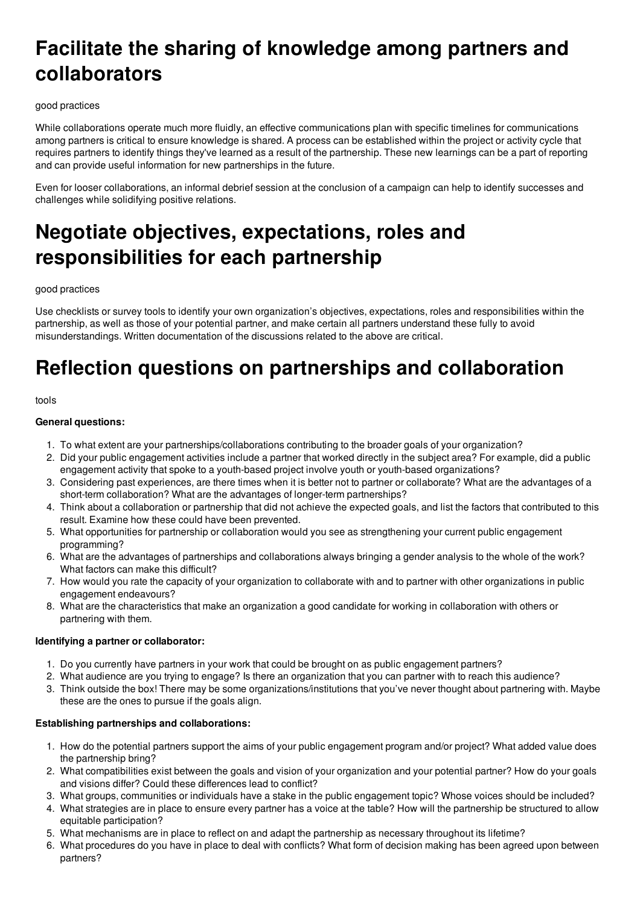# **Facilitate the sharing of knowledge among partners and collaborators**

### good practices

While collaborations operate much more fluidly, an effective communications plan with specific timelines for communications among partners is critical to ensure knowledge is shared. A process can be established within the project or activity cycle that requires partners to identify things they've learned as a result of the partnership. These new learnings can be a part of reporting and can provide useful information for new partnerships in the future.

Even for looser collaborations, an informal debrief session at the conclusion of a campaign can help to identify successes and challenges while solidifying positive relations.

# **Negotiate objectives, expectations, roles and responsibilities for each partnership**

#### good practices

Use checklists or survey tools to identify your own organization's objectives, expectations, roles and responsibilities within the partnership, as well as those of your potential partner, and make certain all partners understand these fully to avoid misunderstandings. Written documentation of the discussions related to the above are critical.

# **Reflection questions on partnerships and collaboration**

#### tools

#### **General questions:**

- 1. To what extent are your partnerships/collaborations contributing to the broader goals of your organization?
- 2. Did your public engagement activities include a partner that worked directly in the subject area? For example, did a public engagement activity that spoke to a youth-based project involve youth or youth-based organizations?
- 3. Considering past experiences, are there times when it is better not to partner or collaborate? What are the advantages of a short-term collaboration? What are the advantages of longer-term partnerships?
- 4. Think about a collaboration or partnership that did not achieve the expected goals, and list the factors that contributed to this result. Examine how these could have been prevented.
- 5. What opportunities for partnership or collaboration would you see as strengthening your current public engagement programming?
- 6. What are the advantages of partnerships and collaborations always bringing a gender analysis to the whole of the work? What factors can make this difficult?
- 7. How would you rate the capacity of your organization to collaborate with and to partner with other organizations in public engagement endeavours?
- 8. What are the characteristics that make an organization a good candidate for working in collaboration with others or partnering with them.

#### **Identifying a partner or collaborator:**

- 1. Do you currently have partners in your work that could be brought on as public engagement partners?
- 2. What audience are you trying to engage? Is there an organization that you can partner with to reach this audience?
- 3. Think outside the box! There may be some organizations/institutions that you've never thought about partnering with. Maybe these are the ones to pursue if the goals align.

## **Establishing partnerships and collaborations:**

- 1. How do the potential partners support the aims of your public engagement program and/or project? What added value does the partnership bring?
- 2. What compatibilities exist between the goals and vision of your organization and your potential partner? How do your goals and visions differ? Could these differences lead to conflict?
- 3. What groups, communities or individuals have a stake in the public engagement topic? Whose voices should be included?
- 4. What strategies are in place to ensure every partner has a voice at the table? How will the partnership be structured to allow equitable participation?
- 5. What mechanisms are in place to reflect on and adapt the partnership as necessary throughout its lifetime?
- 6. What procedures do you have in place to deal with conflicts? What form of decision making has been agreed upon between partners?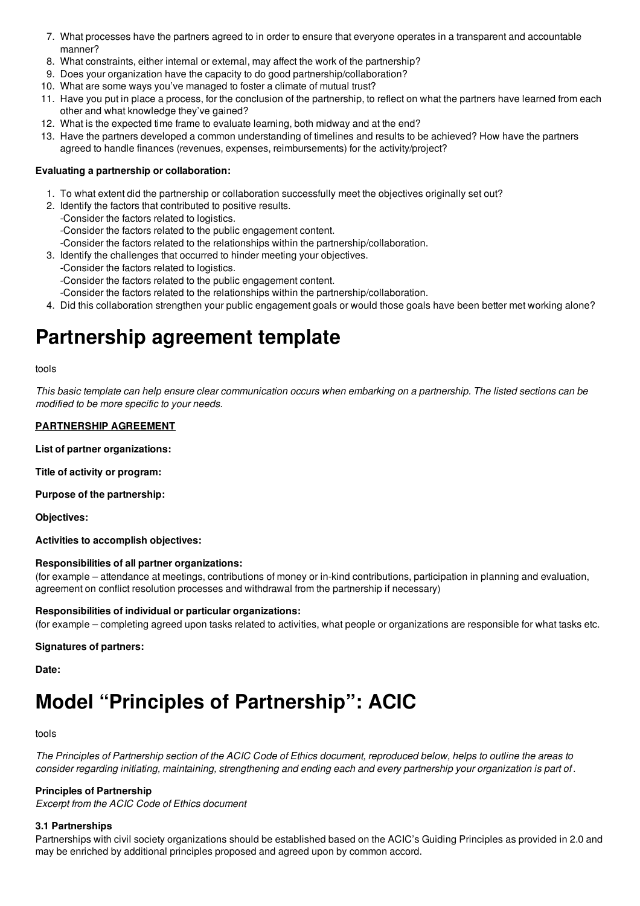- 7. What processes have the partners agreed to in order to ensure that everyone operates in a transparent and accountable manner?
- 8. What constraints, either internal or external, may affect the work of the partnership?
- 9. Does your organization have the capacity to do good partnership/collaboration?
- 10. What are some ways you've managed to foster a climate of mutual trust?
- 11. Have you put in place a process, for the conclusion of the partnership, to reflect on what the partners have learned from each other and what knowledge they've gained?
- 12. What is the expected time frame to evaluate learning, both midway and at the end?
- 13. Have the partners developed a common understanding of timelines and results to be achieved? How have the partners agreed to handle finances (revenues, expenses, reimbursements) for the activity/project?

### **Evaluating a partnership or collaboration:**

- 1. To what extent did the partnership or collaboration successfully meet the objectives originally set out?
- 2. Identify the factors that contributed to positive results.
	- -Consider the factors related to logistics.
	- -Consider the factors related to the public engagement content.
- -Consider the factors related to the relationships within the partnership/collaboration.
- 3. Identify the challenges that occurred to hinder meeting your objectives.
	- -Consider the factors related to logistics.
	- -Consider the factors related to the public engagement content.
	- -Consider the factors related to the relationships within the partnership/collaboration.
- 4. Did this collaboration strengthen your public engagement goals or would those goals have been better met working alone?

## **Partnership agreement template**

#### tools

This basic template can help ensure clear communication occurs when embarking on a partnership. The listed sections can be *modified to be more specific to your needs.*

### **PARTNERSHIP AGREEMENT**

**List of partner organizations:**

**Title of activity or program:**

**Purpose of the partnership:**

**Objectives:**

**Activities to accomplish objectives:**

#### **Responsibilities of all partner organizations:**

(for example – attendance at meetings, contributions of money or in-kind contributions, participation in planning and evaluation, agreement on conflict resolution processes and withdrawal from the partnership if necessary)

#### **Responsibilities of individual or particular organizations:**

(for example – completing agreed upon tasks related to activities, what people or organizations are responsible for what tasks etc.

#### **Signatures of partners:**

**Date:**

# **Model "Principles of Partnership": ACIC**

#### tools

The Principles of Partnership section of the ACIC Code of Ethics document, reproduced below, helps to outline the areas to consider regarding initiating, maintaining, strengthening and ending each and every partnership your organization is part of.

## **Principles of Partnership**

*Excerpt from the ACIC Code of Ethics document*

## **3.1 Partnerships**

Partnerships with civil society organizations should be established based on the ACIC's Guiding Principles as provided in 2.0 and may be enriched by additional principles proposed and agreed upon by common accord.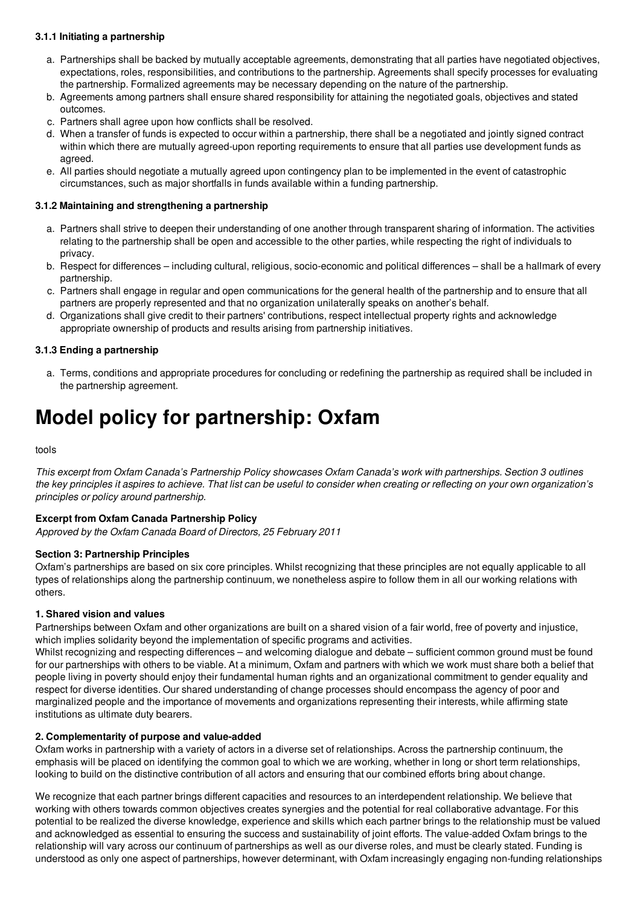### **3.1.1 Initiating a partnership**

- a. Partnerships shall be backed by mutually acceptable agreements, demonstrating that all parties have negotiated objectives, expectations, roles, responsibilities, and contributions to the partnership. Agreements shall specify processes for evaluating the partnership. Formalized agreements may be necessary depending on the nature of the partnership.
- b. Agreements among partners shall ensure shared responsibility for attaining the negotiated goals, objectives and stated outcomes.
- c. Partners shall agree upon how conflicts shall be resolved.
- d. When a transfer of funds is expected to occur within a partnership, there shall be a negotiated and jointly signed contract within which there are mutually agreed-upon reporting requirements to ensure that all parties use development funds as agreed.
- e. All parties should negotiate a mutually agreed upon contingency plan to be implemented in the event of catastrophic circumstances, such as major shortfalls in funds available within a funding partnership.

#### **3.1.2 Maintaining and strengthening a partnership**

- a. Partners shall strive to deepen their understanding of one another through transparent sharing of information. The activities relating to the partnership shall be open and accessible to the other parties, while respecting the right of individuals to privacy.
- b. Respect for differences including cultural, religious, socio-economic and political differences shall be a hallmark of every partnership.
- c. Partners shall engage in regular and open communications for the general health of the partnership and to ensure that all partners are properly represented and that no organization unilaterally speaks on another's behalf.
- d. Organizations shall give credit to their partners' contributions, respect intellectual property rights and acknowledge appropriate ownership of products and results arising from partnership initiatives.

#### **3.1.3 Ending a partnership**

a. Terms, conditions and appropriate procedures for concluding or redefining the partnership as required shall be included in the partnership agreement.

# **Model policy for partnership: Oxfam**

tools

This excerpt from Oxfam Canada's Partnership Policy showcases Oxfam Canada's work with partnerships. Section 3 outlines the key principles it aspires to achieve. That list can be useful to consider when creating or reflecting on your own organization's *principles or policy around partnership.*

#### **Excerpt from Oxfam Canada Partnership Policy**

*Approved by the Oxfam Canada Board of Directors, 25 February 2011*

#### **Section 3: Partnership Principles**

Oxfam's partnerships are based on six core principles. Whilst recognizing that these principles are not equally applicable to all types of relationships along the partnership continuum, we nonetheless aspire to follow them in all our working relations with others.

#### **1. Shared vision and values**

Partnerships between Oxfam and other organizations are built on a shared vision of a fair world, free of poverty and injustice, which implies solidarity beyond the implementation of specific programs and activities.

Whilst recognizing and respecting differences – and welcoming dialogue and debate – sufficient common ground must be found for our partnerships with others to be viable. At a minimum, Oxfam and partners with which we work must share both a belief that people living in poverty should enjoy their fundamental human rights and an organizational commitment to gender equality and respect for diverse identities. Our shared understanding of change processes should encompass the agency of poor and marginalized people and the importance of movements and organizations representing their interests, while affirming state institutions as ultimate duty bearers.

#### **2. Complementarity of purpose and value-added**

Oxfam works in partnership with a variety of actors in a diverse set of relationships. Across the partnership continuum, the emphasis will be placed on identifying the common goal to which we are working, whether in long or short term relationships, looking to build on the distinctive contribution of all actors and ensuring that our combined efforts bring about change.

We recognize that each partner brings different capacities and resources to an interdependent relationship. We believe that working with others towards common objectives creates synergies and the potential for real collaborative advantage. For this potential to be realized the diverse knowledge, experience and skills which each partner brings to the relationship must be valued and acknowledged as essential to ensuring the success and sustainability of joint efforts. The value-added Oxfam brings to the relationship will vary across our continuum of partnerships as well as our diverse roles, and must be clearly stated. Funding is understood as only one aspect of partnerships, however determinant, with Oxfam increasingly engaging non-funding relationships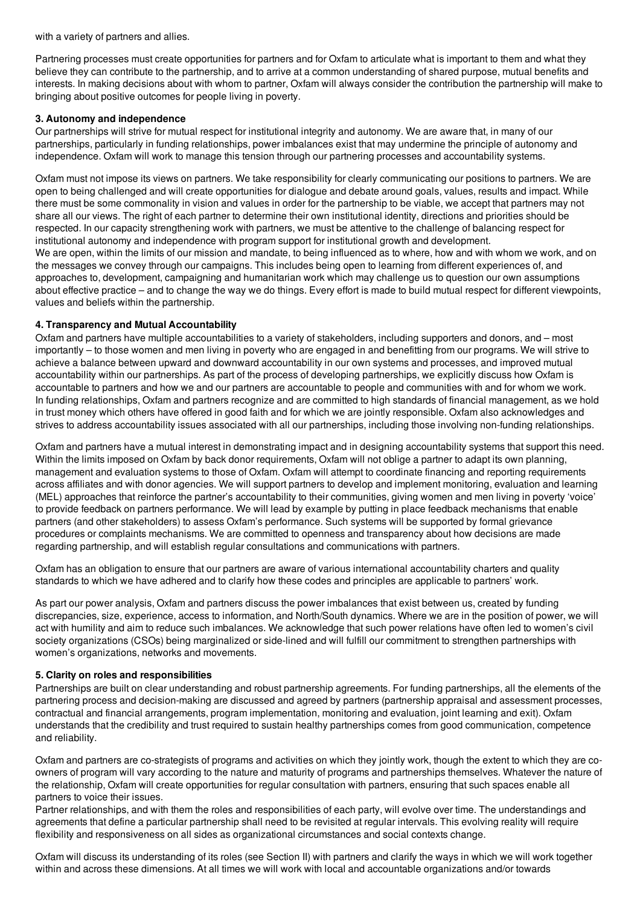with a variety of partners and allies.

Partnering processes must create opportunities for partners and for Oxfam to articulate what is important to them and what they believe they can contribute to the partnership, and to arrive at a common understanding of shared purpose, mutual benefits and interests. In making decisions about with whom to partner, Oxfam will always consider the contribution the partnership will make to bringing about positive outcomes for people living in poverty.

### **3. Autonomy and independence**

Our partnerships will strive for mutual respect for institutional integrity and autonomy. We are aware that, in many of our partnerships, particularly in funding relationships, power imbalances exist that may undermine the principle of autonomy and independence. Oxfam will work to manage this tension through our partnering processes and accountability systems.

Oxfam must not impose its views on partners. We take responsibility for clearly communicating our positions to partners. We are open to being challenged and will create opportunities for dialogue and debate around goals, values, results and impact. While there must be some commonality in vision and values in order for the partnership to be viable, we accept that partners may not share all our views. The right of each partner to determine their own institutional identity, directions and priorities should be respected. In our capacity strengthening work with partners, we must be attentive to the challenge of balancing respect for institutional autonomy and independence with program support for institutional growth and development.

We are open, within the limits of our mission and mandate, to being influenced as to where, how and with whom we work, and on the messages we convey through our campaigns. This includes being open to learning from different experiences of, and approaches to, development, campaigning and humanitarian work which may challenge us to question our own assumptions about effective practice – and to change the way we do things. Every effort is made to build mutual respect for different viewpoints, values and beliefs within the partnership.

### **4. Transparency and Mutual Accountability**

Oxfam and partners have multiple accountabilities to a variety of stakeholders, including supporters and donors, and – most importantly – to those women and men living in poverty who are engaged in and benefitting from our programs. We will strive to achieve a balance between upward and downward accountability in our own systems and processes, and improved mutual accountability within our partnerships. As part of the process of developing partnerships, we explicitly discuss how Oxfam is accountable to partners and how we and our partners are accountable to people and communities with and for whom we work. In funding relationships, Oxfam and partners recognize and are committed to high standards of financial management, as we hold in trust money which others have offered in good faith and for which we are jointly responsible. Oxfam also acknowledges and strives to address accountability issues associated with all our partnerships, including those involving non-funding relationships.

Oxfam and partners have a mutual interest in demonstrating impact and in designing accountability systems that support this need. Within the limits imposed on Oxfam by back donor requirements, Oxfam will not oblige a partner to adapt its own planning. management and evaluation systems to those of Oxfam. Oxfam will attempt to coordinate financing and reporting requirements across affiliates and with donor agencies. We will support partners to develop and implement monitoring, evaluation and learning (MEL) approaches that reinforce the partner's accountability to their communities, giving women and men living in poverty 'voice' to provide feedback on partners performance. We will lead by example by putting in place feedback mechanisms that enable partners (and other stakeholders) to assess Oxfam's performance. Such systems will be supported by formal grievance procedures or complaints mechanisms. We are committed to openness and transparency about how decisions are made regarding partnership, and will establish regular consultations and communications with partners.

Oxfam has an obligation to ensure that our partners are aware of various international accountability charters and quality standards to which we have adhered and to clarify how these codes and principles are applicable to partners' work.

As part our power analysis, Oxfam and partners discuss the power imbalances that exist between us, created by funding discrepancies, size, experience, access to information, and North/South dynamics. Where we are in the position of power, we will act with humility and aim to reduce such imbalances. We acknowledge that such power relations have often led to women's civil society organizations (CSOs) being marginalized or side-lined and will fulfill our commitment to strengthen partnerships with women's organizations, networks and movements.

#### **5. Clarity on roles and responsibilities**

Partnerships are built on clear understanding and robust partnership agreements. For funding partnerships, all the elements of the partnering process and decision-making are discussed and agreed by partners (partnership appraisal and assessment processes, contractual and financial arrangements, program implementation, monitoring and evaluation, joint learning and exit). Oxfam understands that the credibility and trust required to sustain healthy partnerships comes from good communication, competence and reliability.

Oxfam and partners are co-strategists of programs and activities on which they jointly work, though the extent to which they are coowners of program will vary according to the nature and maturity of programs and partnerships themselves. Whatever the nature of the relationship, Oxfam will create opportunities for regular consultation with partners, ensuring that such spaces enable all partners to voice their issues.

Partner relationships, and with them the roles and responsibilities of each party, will evolve over time. The understandings and agreements that define a particular partnership shall need to be revisited at regular intervals. This evolving reality will require flexibility and responsiveness on all sides as organizational circumstances and social contexts change.

Oxfam will discuss its understanding of its roles (see Section II) with partners and clarify the ways in which we will work together within and across these dimensions. At all times we will work with local and accountable organizations and/or towards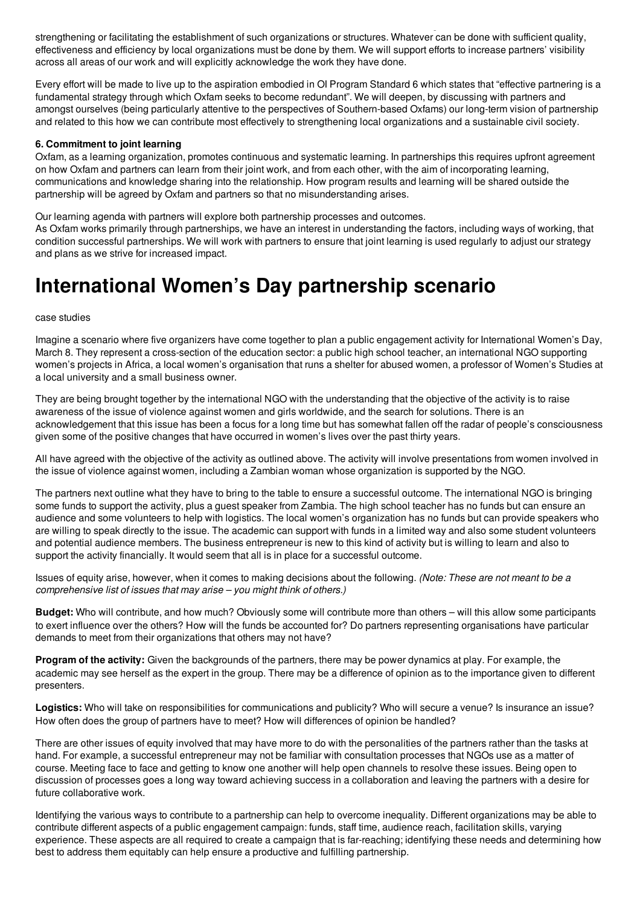strengthening or facilitating the establishment of such organizations or structures. Whatever can be done with sufficient quality, effectiveness and efficiency by local organizations must be done by them. We will support efforts to increase partners' visibility across all areas of our work and will explicitly acknowledge the work they have done.

with an across these dimensions. At all times we will work with local and accountable organizations and or towards and

Every effort will be made to live up to the aspiration embodied in OI Program Standard 6 which states that "effective partnering is a fundamental strategy through which Oxfam seeks to become redundant". We will deepen, by discussing with partners and amongst ourselves (being particularly attentive to the perspectives of Southern-based Oxfams) our long-term vision of partnership and related to this how we can contribute most effectively to strengthening local organizations and a sustainable civil society.

### **6. Commitment to joint learning**

Oxfam, as a learning organization, promotes continuous and systematic learning. In partnerships this requires upfront agreement on how Oxfam and partners can learn from their joint work, and from each other, with the aim of incorporating learning, communications and knowledge sharing into the relationship. How program results and learning will be shared outside the partnership will be agreed by Oxfam and partners so that no misunderstanding arises.

Our learning agenda with partners will explore both partnership processes and outcomes.

As Oxfam works primarily through partnerships, we have an interest in understanding the factors, including ways of working, that condition successful partnerships. We will work with partners to ensure that joint learning is used regularly to adjust our strategy and plans as we strive for increased impact.

# **International Women's Day partnership scenario**

#### case studies

Imagine a scenario where five organizers have come together to plan a public engagement activity for International Women's Day, March 8. They represent a cross-section of the education sector: a public high school teacher, an international NGO supporting women's projects in Africa, a local women's organisation that runs a shelter for abused women, a professor of Women's Studies at a local university and a small business owner.

They are being brought together by the international NGO with the understanding that the objective of the activity is to raise awareness of the issue of violence against women and girls worldwide, and the search for solutions. There is an acknowledgement that this issue has been a focus for a long time but has somewhat fallen off the radar of people's consciousness given some of the positive changes that have occurred in women's lives over the past thirty years.

All have agreed with the objective of the activity as outlined above. The activity will involve presentations from women involved in the issue of violence against women, including a Zambian woman whose organization is supported by the NGO.

The partners next outline what they have to bring to the table to ensure a successful outcome. The international NGO is bringing some funds to support the activity, plus a guest speaker from Zambia. The high school teacher has no funds but can ensure an audience and some volunteers to help with logistics. The local women's organization has no funds but can provide speakers who are willing to speak directly to the issue. The academic can support with funds in a limited way and also some student volunteers and potential audience members. The business entrepreneur is new to this kind of activity but is willing to learn and also to support the activity financially. It would seem that all is in place for a successful outcome.

Issues of equity arise, however, when it comes to making decisions about the following. *(Note: These are not meant to be a comprehensive list of issues that may arise – you might think of others.)*

**Budget:** Who will contribute, and how much? Obviously some will contribute more than others – will this allow some participants to exert influence over the others? How will the funds be accounted for? Do partners representing organisations have particular demands to meet from their organizations that others may not have?

**Program of the activity:** Given the backgrounds of the partners, there may be power dynamics at play. For example, the academic may see herself as the expert in the group. There may be a difference of opinion as to the importance given to different presenters.

Logistics: Who will take on responsibilities for communications and publicity? Who will secure a venue? Is insurance an issue? How often does the group of partners have to meet? How will differences of opinion be handled?

There are other issues of equity involved that may have more to do with the personalities of the partners rather than the tasks at hand. For example, a successful entrepreneur may not be familiar with consultation processes that NGOs use as a matter of course. Meeting face to face and getting to know one another will help open channels to resolve these issues. Being open to discussion of processes goes a long way toward achieving success in a collaboration and leaving the partners with a desire for future collaborative work.

Identifying the various ways to contribute to a partnership can help to overcome inequality. Different organizations may be able to contribute different aspects of a public engagement campaign: funds, staff time, audience reach, facilitation skills, varying experience. These aspects are all required to create a campaign that is far-reaching; identifying these needs and determining how best to address them equitably can help ensure a productive and fulfilling partnership.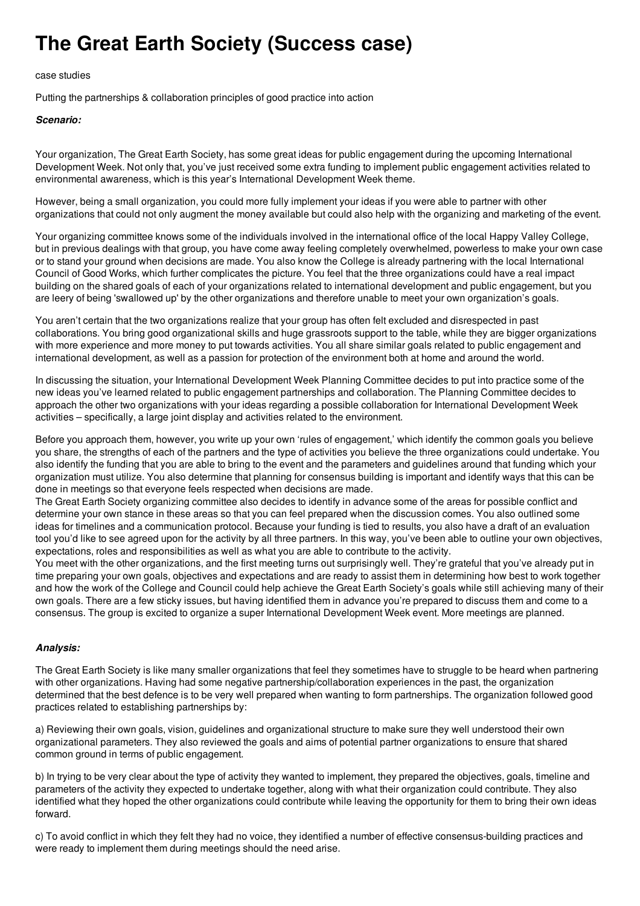# **The Great Earth Society (Success case)**

### case studies

Putting the partnerships & collaboration principles of good practice into action

## *Scenario:*

Your organization, The Great Earth Society, has some great ideas for public engagement during the upcoming International Development Week. Not only that, you've just received some extra funding to implement public engagement activities related to environmental awareness, which is this year's International Development Week theme.

However, being a small organization, you could more fully implement your ideas if you were able to partner with other organizations that could not only augment the money available but could also help with the organizing and marketing of the event.

Your organizing committee knows some of the individuals involved in the international office of the local Happy Valley College, but in previous dealings with that group, you have come away feeling completely overwhelmed, powerless to make your own case or to stand your ground when decisions are made. You also know the College is already partnering with the local International Council of Good Works, which further complicates the picture. You feel that the three organizations could have a real impact building on the shared goals of each of your organizations related to international development and public engagement, but you are leery of being 'swallowed up' by the other organizations and therefore unable to meet your own organization's goals.

You aren't certain that the two organizations realize that your group has often felt excluded and disrespected in past collaborations. You bring good organizational skills and huge grassroots support to the table, while they are bigger organizations with more experience and more money to put towards activities. You all share similar goals related to public engagement and international development, as well as a passion for protection of the environment both at home and around the world.

In discussing the situation, your International Development Week Planning Committee decides to put into practice some of the new ideas you've learned related to public engagement partnerships and collaboration. The Planning Committee decides to approach the other two organizations with your ideas regarding a possible collaboration for International Development Week activities – specifically, a large joint display and activities related to the environment.

Before you approach them, however, you write up your own 'rules of engagement,' which identify the common goals you believe you share, the strengths of each of the partners and the type of activities you believe the three organizations could undertake. You also identify the funding that you are able to bring to the event and the parameters and guidelines around that funding which your organization must utilize. You also determine that planning for consensus building is important and identify ways that this can be done in meetings so that everyone feels respected when decisions are made.

The Great Earth Society organizing committee also decides to identify in advance some of the areas for possible conflict and determine your own stance in these areas so that you can feel prepared when the discussion comes. You also outlined some ideas for timelines and a communication protocol. Because your funding is tied to results, you also have a draft of an evaluation tool you'd like to see agreed upon for the activity by all three partners. In this way, you've been able to outline your own objectives, expectations, roles and responsibilities as well as what you are able to contribute to the activity.

You meet with the other organizations, and the first meeting turns out surprisingly well. They're grateful that you've already put in time preparing your own goals, objectives and expectations and are ready to assist them in determining how best to work together and how the work of the College and Council could help achieve the Great Earth Society's goals while still achieving many of their own goals. There are a few sticky issues, but having identified them in advance you're prepared to discuss them and come to a consensus. The group is excited to organize a super International Development Week event. More meetings are planned.

## *Analysis:*

The Great Earth Society is like many smaller organizations that feel they sometimes have to struggle to be heard when partnering with other organizations. Having had some negative partnership/collaboration experiences in the past, the organization determined that the best defence is to be very well prepared when wanting to form partnerships. The organization followed good practices related to establishing partnerships by:

a) Reviewing their own goals, vision, guidelines and organizational structure to make sure they well understood their own organizational parameters. They also reviewed the goals and aims of potential partner organizations to ensure that shared common ground in terms of public engagement.

b) In trying to be very clear about the type of activity they wanted to implement, they prepared the objectives, goals, timeline and parameters of the activity they expected to undertake together, along with what their organization could contribute. They also identified what they hoped the other organizations could contribute while leaving the opportunity for them to bring their own ideas forward.

c) To avoid conflict in which they felt they had no voice, they identified a number of effective consensus-building practices and were ready to implement them during meetings should the need arise.